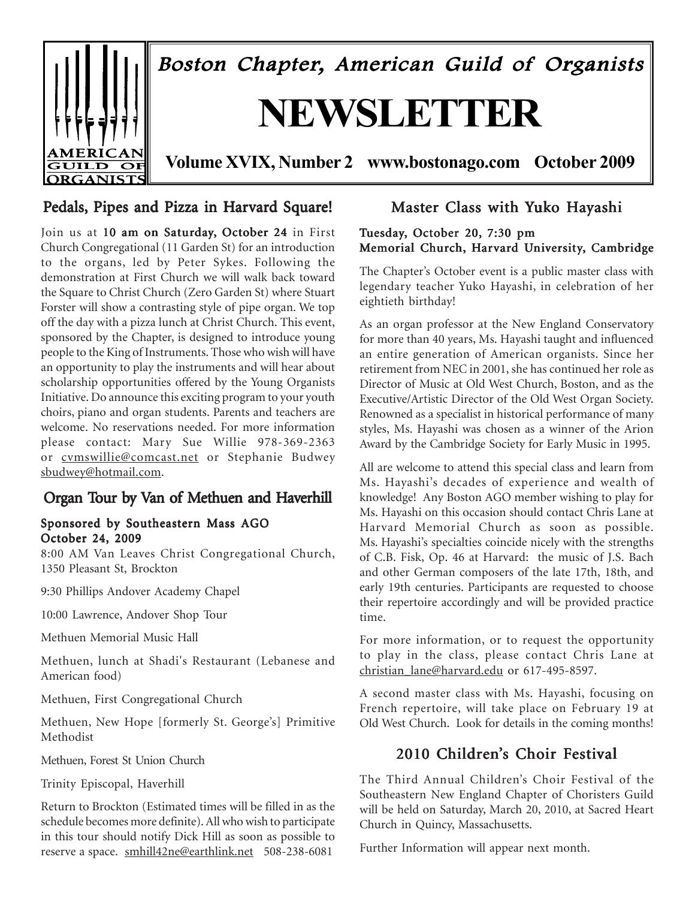

# Pedals, Pipes and Pizza in Harvard Square!

Join us at 10 am on Saturday, October 24 in First Church Congregational (11 Garden St) for an introduction to the organs, led by Peter Sykes. Following the demonstration at First Church we will walk back toward the Square to Christ Church (Zero Garden St) where Stuart Forster will show a contrasting style of pipe organ. We top off the day with a pizza lunch at Christ Church. This event, sponsored by the Chapter, is designed to introduce young people to the King of Instruments. Those who wish will have an opportunity to play the instruments and will hear about scholarship opportunities offered by the Young Organists Initiative. Do announce this exciting program to your youth choirs, piano and organ students. Parents and teachers are welcome. No reservations needed. For more information please contact: Mary Sue Willie 978-369-2363 or cvmswillie@comcast.net or Stephanie Budwey sbudwey@hotmail.com.

# Organ Tour by Van of Methuen and Haverhill

### Sponsored by Southeastern Mass AGO October 24, 2009

8:00 AM Van Leaves Christ Congregational Church, 1350 Pleasant St, Brockton

9:30 Phillips Andover Academy Chapel

10:00 Lawrence, Andover Shop Tour

Methuen Memorial Music Hall

Methuen, lunch at Shadi's Restaurant (Lebanese and American food)

Methuen, First Congregational Church

Methuen, New Hope [formerly St. George's] Primitive Methodist

Methuen, Forest St Union Church

Trinity Episcopal, Haverhill

Return to Brockton (Estimated times will be filled in as the schedule becomes more definite). All who wish to participate in this tour should notify Dick Hill as soon as possible to reserve a space. smhill42ne@earthlink.net 508-238-6081

# Master Class with Yuko Hayashi

### Tuesday, October 20, 7:30 pm Memorial Church, Harvard University, Cambridge

The Chapter's October event is a public master class with legendary teacher Yuko Hayashi, in celebration of her eightieth birthday!

As an organ professor at the New England Conservatory for more than 40 years, Ms. Hayashi taught and influenced an entire generation of American organists. Since her retirement from NEC in 2001, she has continued her role as Director of Music at Old West Church, Boston, and as the Executive/Artistic Director of the Old West Organ Society. Renowned as a specialist in historical performance of many styles, Ms. Hayashi was chosen as a winner of the Arion Award by the Cambridge Society for Early Music in 1995.

All are welcome to attend this special class and learn from Ms. Hayashi's decades of experience and wealth of knowledge! Any Boston AGO member wishing to play for Ms. Hayashi on this occasion should contact Chris Lane at Harvard Memorial Church as soon as possible. Ms. Hayashi's specialties coincide nicely with the strengths of C.B. Fisk, Op. 46 at Harvard: the music of J.S. Bach and other German composers of the late 17th, 18th, and early 19th centuries. Participants are requested to choose their repertoire accordingly and will be provided practice time.

For more information, or to request the opportunity to play in the class, please contact Chris Lane at christian\_lane@harvard.edu or 617-495-8597.

A second master class with Ms. Hayashi, focusing on French repertoire, will take place on February 19 at Old West Church. Look for details in the coming months!

# 2010 Children's Choir Festival

The Third Annual Children's Choir Festival of the Southeastern New England Chapter of Choristers Guild will be held on Saturday, March 20, 2010, at Sacred Heart Church in Quincy, Massachusetts.

Further Information will appear next month.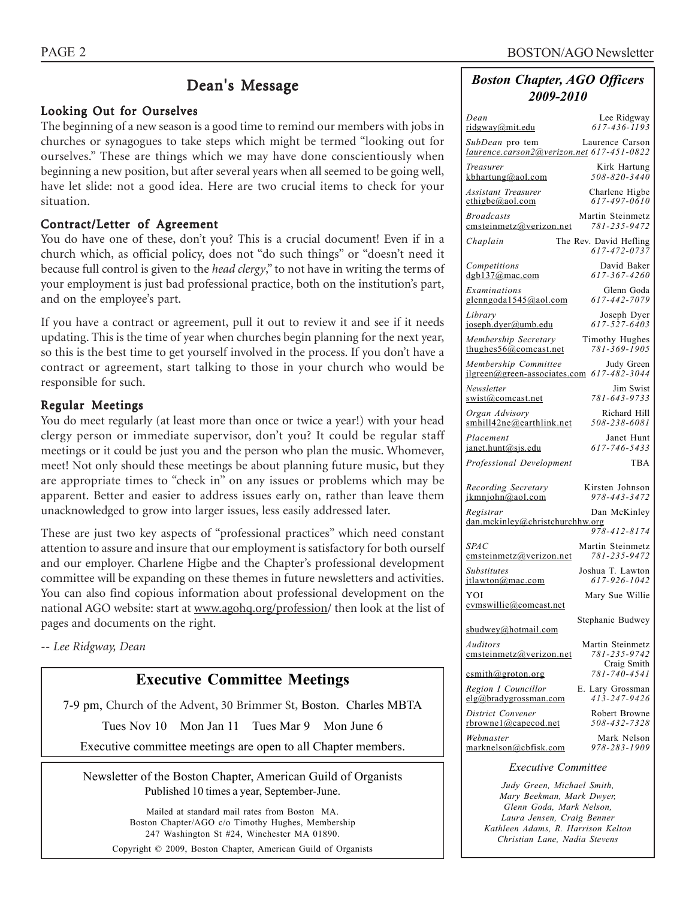# Dean's Message

### Looking Out for Ourselves

The beginning of a new season is a good time to remind our members with jobs in churches or synagogues to take steps which might be termed "looking out for ourselves." These are things which we may have done conscientiously when beginning a new position, but after several years when all seemed to be going well, have let slide: not a good idea. Here are two crucial items to check for your situation.

### Contract/Letter of Agreement

You do have one of these, don't you? This is a crucial document! Even if in a church which, as official policy, does not "do such things" or "doesn't need it because full control is given to the *head clergy*," to not have in writing the terms of your employment is just bad professional practice, both on the institution's part, and on the employee's part.

If you have a contract or agreement, pull it out to review it and see if it needs updating. This is the time of year when churches begin planning for the next year, so this is the best time to get yourself involved in the process. If you don't have a contract or agreement, start talking to those in your church who would be responsible for such.

### Regular Meetings

You do meet regularly (at least more than once or twice a year!) with your head clergy person or immediate supervisor, don't you? It could be regular staff meetings or it could be just you and the person who plan the music. Whomever, meet! Not only should these meetings be about planning future music, but they are appropriate times to "check in" on any issues or problems which may be apparent. Better and easier to address issues early on, rather than leave them unacknowledged to grow into larger issues, less easily addressed later.

These are just two key aspects of "professional practices" which need constant attention to assure and insure that our employment is satisfactory for both ourself and our employer. Charlene Higbe and the Chapter's professional development committee will be expanding on these themes in future newsletters and activities. You can also find copious information about professional development on the national AGO website: start at www.agohq.org/profession/ then look at the list of pages and documents on the right.

*-- Lee Ridgway, Dean*

# **Executive Committee Meetings**

7-9 pm, Church of the Advent, 30 Brimmer St, Boston. Charles MBTA

Tues Nov 10 Mon Jan 11 Tues Mar 9 Mon June 6

Executive committee meetings are open to all Chapter members.

Newsletter of the Boston Chapter, American Guild of Organists Published 10 times a year, September-June.

> Mailed at standard mail rates from Boston MA. Boston Chapter/AGO c/o Timothy Hughes, Membership 247 Washington St #24, Winchester MA 01890. Copyright © 2009, Boston Chapter, American Guild of Organists

### *Boston Chapter, AGO Officers 2009-2010*

| Dean                                                         |                                                  |
|--------------------------------------------------------------|--------------------------------------------------|
| ridgway@mit.edu                                              | Lee Ridgway<br>$617 - 436 - 1193$                |
| SubDean pro tem<br>laurence.carson2@verizon.net 617-451-0822 | Laurence Carson                                  |
| Treasurer                                                    | Kirk Hartung                                     |
| $k$ bhartung@aol.com                                         | 508-820-3440                                     |
| Assistant Treasurer                                          | Charlene Higbe                                   |
| $\text{cthigbe}(a)$ aol.com                                  | 617-497-0610                                     |
| <b>Broadcasts</b>                                            | Martin Steinmetz                                 |
| emsteinmetz@verizon.net                                      | 781-235-9472                                     |
| Chaplain                                                     | The Rev. David Hefling<br>617-472-0737           |
| Competitions                                                 | David Baker                                      |
| dgb137@mac.com                                               | 617-367-4260                                     |
| Examinations                                                 | Glenn Goda                                       |
| glenngoda1545@aol.com                                        | 617-442-7079                                     |
| Library                                                      | Joseph Dyer                                      |
| joseph.dyer@umb.edu                                          | 617-527-6403                                     |
| Membership Secretary                                         | Timothy Hughes                                   |
| thughes $56$ @comcast.net                                    | 781-369-1905                                     |
| Membership Committee                                         | Judy Green                                       |
| $ilgreen(\omega$ green-associates.com                        | 617-482-3044                                     |
| Newsletter                                                   | Jim Swist                                        |
| swist@comcast.net                                            | 781-643-9733                                     |
| Organ Advisory                                               | Richard Hill                                     |
| smhill42ne@earthlink.net                                     | 508-238-6081                                     |
| Placement                                                    | Janet Hunt                                       |
| janet.hunt@sjs.edu                                           | 617-746-5433                                     |
| Professional Development                                     | TBA                                              |
| Recording Secretary                                          | Kirsten Johnson                                  |
| ikmniohn@aol.com                                             | 978-443-3472                                     |
|                                                              |                                                  |
| Registrar<br>dan.mckinley@christchurchhw.org                 | Dan McKinley                                     |
| <b>SPAC</b>                                                  | 978-412-8174<br>Martin Steinmetz<br>781-235-9472 |
| emsteinmetz@verizon.net                                      | Joshua T. Lawton                                 |
| <b>Substitutes</b>                                           | 617-926-1042                                     |
| jtlawton@mac.com<br>YOI                                      | Mary Sue Willie                                  |
| cymswillie@comcast.net                                       | Stephanie Budwey                                 |
| sbudwey@hotmail.com<br>Auditors                              | Martin Steinmetz                                 |
| emsteinmetz@verizon.net                                      | 781-235-9742<br>Craig Smith                      |
| csmith@groton.org                                            | 781-740-4541                                     |
| Region I Councillor                                          | E. Lary Grossman                                 |
| elg@bradygrossman.com                                        | $413 - 247 - 9426$                               |
| District Convener                                            | Robert Browne                                    |
| rbrownel@capecod.net                                         | 508-432-7328                                     |
| Webmaster                                                    | Mark Nelson                                      |

#### *Executive Committee*

*Judy Green, Michael Smith, Mary Beekman, Mark Dwyer, Glenn Goda, Mark Nelson, Laura Jensen, Craig Benner Kathleen Adams, R. Harrison Kelton Christian Lane, Nadia Stevens*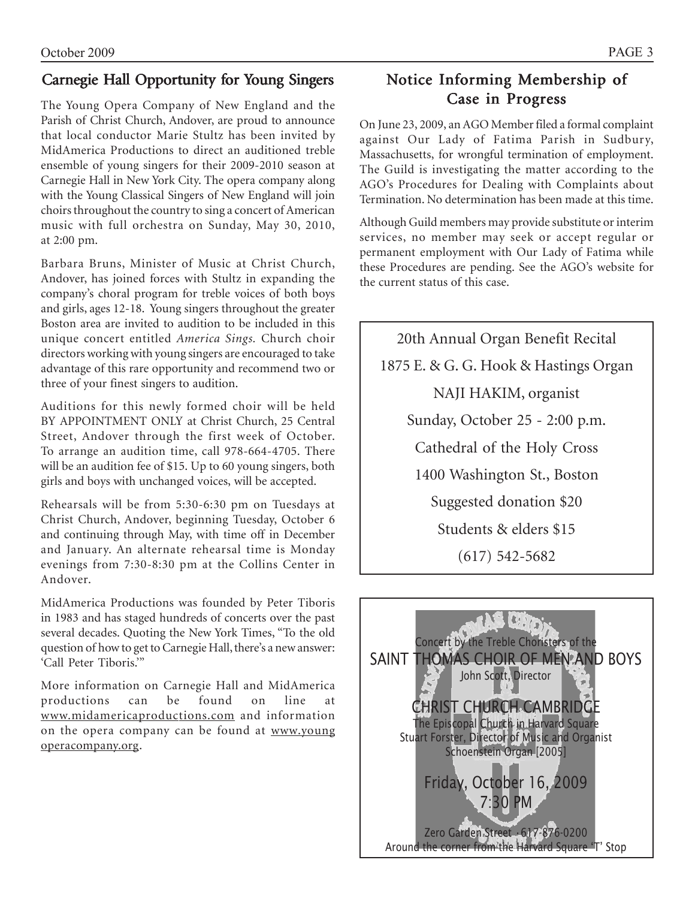# Carnegie Hall Opportunity for Young Singers

The Young Opera Company of New England and the Parish of Christ Church, Andover, are proud to announce that local conductor Marie Stultz has been invited by MidAmerica Productions to direct an auditioned treble ensemble of young singers for their 2009-2010 season at Carnegie Hall in New York City. The opera company along with the Young Classical Singers of New England will join choirs throughout the country to sing a concert of American music with full orchestra on Sunday, May 30, 2010, at 2:00 pm.

Barbara Bruns, Minister of Music at Christ Church, Andover, has joined forces with Stultz in expanding the company's choral program for treble voices of both boys and girls, ages 12-18. Young singers throughout the greater Boston area are invited to audition to be included in this unique concert entitled *America Sings.* Church choir directors working with young singers are encouraged to take advantage of this rare opportunity and recommend two or three of your finest singers to audition.

Auditions for this newly formed choir will be held BY APPOINTMENT ONLY at Christ Church, 25 Central Street, Andover through the first week of October. To arrange an audition time, call 978-664-4705. There will be an audition fee of \$15. Up to 60 young singers, both girls and boys with unchanged voices, will be accepted.

Rehearsals will be from 5:30-6:30 pm on Tuesdays at Christ Church, Andover, beginning Tuesday, October 6 and continuing through May, with time off in December and January. An alternate rehearsal time is Monday evenings from 7:30-8:30 pm at the Collins Center in Andover.

MidAmerica Productions was founded by Peter Tiboris in 1983 and has staged hundreds of concerts over the past several decades. Quoting the New York Times, "To the old question of how to get to Carnegie Hall, there's a new answer: 'Call Peter Tiboris.'"

More information on Carnegie Hall and MidAmerica productions can be found on line at www.midamericaproductions.com and information on the opera company can be found at www.young operacompany.org.

# Notice Informing Membership of Case in Progress

On June 23, 2009, an AGO Member filed a formal complaint against Our Lady of Fatima Parish in Sudbury, Massachusetts, for wrongful termination of employment. The Guild is investigating the matter according to the AGO's Procedures for Dealing with Complaints about Termination. No determination has been made at this time.

Although Guild members may provide substitute or interim services, no member may seek or accept regular or permanent employment with Our Lady of Fatima while these Procedures are pending. See the AGO's website for the current status of this case.

20th Annual Organ Benefit Recital 1875 E. & G. G. Hook & Hastings Organ NAJI HAKIM, organist Sunday, October 25 - 2:00 p.m. Cathedral of the Holy Cross 1400 Washington St., Boston Suggested donation \$20 Students & elders \$15 (617) 542-5682

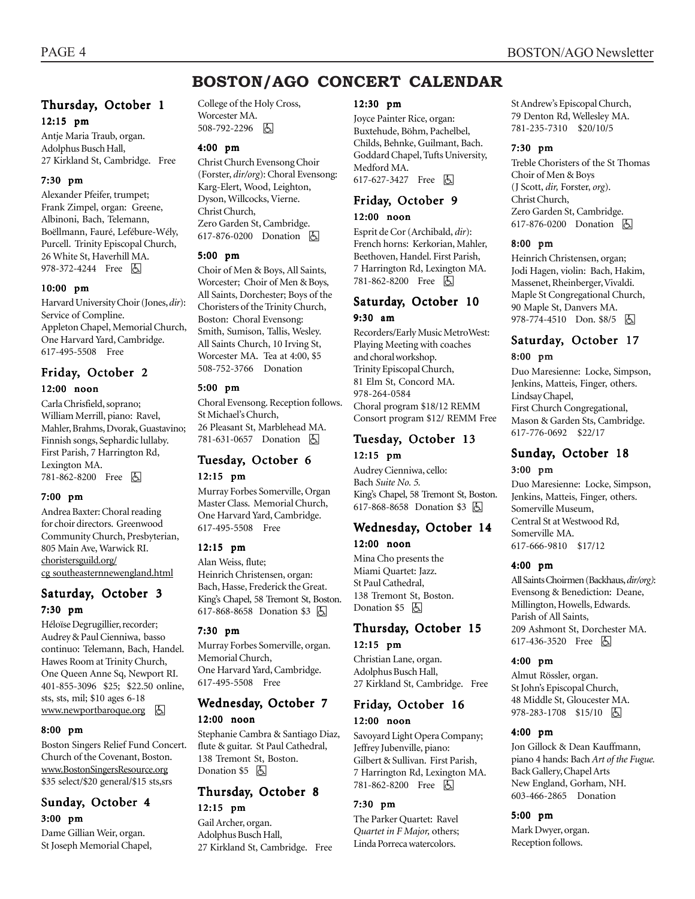# **BOSTON/AGO CONCERT CALENDAR**

### Thursday, October 1 12:15 pm

Antje Maria Traub, organ. Adolphus Busch Hall, 27 Kirkland St, Cambridge. Free

### 7:30 pm

Alexander Pfeifer, trumpet; Frank Zimpel, organ: Greene, Albinoni, Bach, Telemann, Boëllmann, Fauré, Lefébure-Wély, Purcell. Trinity Episcopal Church, 26 White St, Haverhill MA. 978-372-4244 Free 因

### 10:00 pm

Harvard University Choir (Jones, *dir*): Service of Compline. Appleton Chapel, Memorial Church, One Harvard Yard, Cambridge. 617-495-5508 Free

### Friday, October 2 12:00 noon

#### Carla Chrisfield, soprano; William Merrill, piano: Ravel, Mahler, Brahms, Dvorak, Guastavino; Finnish songs, Sephardic lullaby. First Parish, 7 Harrington Rd, Lexington MA. 781-862-8200 Free h

#### 7:00 pm

Andrea Baxter: Choral reading for choir directors. Greenwood Community Church, Presbyterian, 805 Main Ave, Warwick RI. choristersguild.org/ cg southeasternnewengland.html

### Saturday, October 3 7:30 pm

Héloïse Degrugillier, recorder; Audrey & Paul Cienniwa, basso continuo: Telemann, Bach, Handel. Hawes Room at Trinity Church, One Queen Anne Sq, Newport RI. 401-855-3096 \$25; \$22.50 online, sts, sts, mil; \$10 ages 6-18  $www.newportbaroque.org$   $\Box$ 

### 8:00 pm

Boston Singers Relief Fund Concert. Church of the Covenant, Boston. www.BostonSingersResource.org \$35 select/\$20 general/\$15 sts,srs

### Sunday, October 4 3:00 pm

Dame Gillian Weir, organ. St Joseph Memorial Chapel, College of the Holy Cross, Worcester MA. 508-792-2296 周

#### 4:00 pm

Christ Church Evensong Choir (Forster, *dir/org*): Choral Evensong: Karg-Elert, Wood, Leighton, Dyson, Willcocks, Vierne. Christ Church, Zero Garden St, Cambridge. 617-876-0200 Donation  $\Box$ 

#### 5:00 pm

Choir of Men & Boys, All Saints, Worcester; Choir of Men & Boys, All Saints, Dorchester; Boys of the Choristers of the Trinity Church, Boston: Choral Evensong: Smith, Sumison, Tallis, Wesley. All Saints Church, 10 Irving St, Worcester MA. Tea at 4:00, \$5 508-752-3766 Donation

#### 5:00 pm

Choral Evensong. Reception follows. St Michael's Church, 26 Pleasant St, Marblehead MA. 781-631-0657 Donation **b** 

### Tuesday, October 6 12:15 pm

Murray Forbes Somerville, Organ Master Class. Memorial Church, One Harvard Yard, Cambridge. 617-495-5508 Free

#### 12:15 pm

Alan Weiss, flute; Heinrich Christensen, organ: Bach, Hasse, Frederick the Great. King's Chapel, 58 Tremont St, Boston. 617-868-8658 Donation \$3 因

#### 7:30 pm

Murray Forbes Somerville, organ. Memorial Church, One Harvard Yard, Cambridge. 617-495-5508 Free

### Wednesday, October 7 12:00 noon

Stephanie Cambra & Santiago Diaz, flute & guitar. St Paul Cathedral, 138 Tremont St, Boston. Donation \$5 因

### Thursday, October 8 12:15 pm

Gail Archer, organ. Adolphus Busch Hall, 27 Kirkland St, Cambridge. Free

#### 12:30 pm

Joyce Painter Rice, organ: Buxtehude, Böhm, Pachelbel, Childs, Behnke, Guilmant, Bach. Goddard Chapel, Tufts University, Medford MA. 617-627-3427 Free 因

### Friday, October 9

#### 12:00 noon

Esprit de Cor (Archibald, *dir*): French horns: Kerkorian, Mahler, Beethoven, Handel. First Parish, 7 Harrington Rd, Lexington MA. 781-862-8200 Free [5]

### Saturday, October 10 9:30 am

Recorders/Early Music MetroWest: Playing Meeting with coaches and choral workshop. Trinity Episcopal Church, 81 Elm St, Concord MA. 978-264-0584 Choral program \$18/12 REMM Consort program \$12/ REMM Free

### Tuesday, October 13 12:15 pm

Audrey Cienniwa, cello: Bach *Suite No. 5.* King's Chapel, 58 Tremont St, Boston. 617-868-8658 Donation \$3 因

# Wednesday, October 14

#### 12:00 noon

Mina Cho presents the Miami Quartet: Jazz. St Paul Cathedral, 138 Tremont St, Boston. Donation  $$5$   $\Box$ 

### Thursday, October 15 12:15 pm

Christian Lane, organ. Adolphus Busch Hall, 27 Kirkland St, Cambridge. Free

# Friday, October 16

### 12:00 noon

Savoyard Light Opera Company; Jeffrey Jubenville, piano: Gilbert & Sullivan. First Parish, 7 Harrington Rd, Lexington MA. 781-862-8200 Free **A** 

#### 7:30 pm

The Parker Quartet: Ravel *Quartet in F Major,* others; Linda Porreca watercolors.

St Andrew's Episcopal Church, 79 Denton Rd, Wellesley MA. 781-235-7310 \$20/10/5

#### 7:30 pm

Treble Choristers of the St Thomas Choir of Men & Boys (J Scott, *dir,* Forster, *org*). Christ Church, Zero Garden St, Cambridge. 617-876-0200 Donation  $\boxed{6}$ 

#### 8:00 pm

Heinrich Christensen, organ; Jodi Hagen, violin: Bach, Hakim, Massenet, Rheinberger, Vivaldi. Maple St Congregational Church, 90 Maple St, Danvers MA. 978-774-4510 Don. \$8/5 因

# Saturday, October 17

#### 8:00 pm

Duo Maresienne: Locke, Simpson, Jenkins, Matteis, Finger, others. Lindsay Chapel, First Church Congregational, Mason & Garden Sts, Cambridge. 617-776-0692 \$22/17

### Sunday, October 18

#### 3:00 pm

Duo Maresienne: Locke, Simpson, Jenkins, Matteis, Finger, others. Somerville Museum, Central St at Westwood Rd, Somerville MA. 617-666-9810 \$17/12

#### 4:00 pm

All Saints Choirmen (Backhaus, *dir/org)*: Evensong & Benediction: Deane, Millington, Howells, Edwards. Parish of All Saints, 209 Ashmont St, Dorchester MA. 617-436-3520 Free 因

#### 4:00 pm

Almut Rössler, organ. St John's Episcopal Church, 48 Middle St, Gloucester MA. 978-283-1708 \$15/10 6

#### 4:00 pm

Jon Gillock & Dean Kauffmann, piano 4 hands: Bach *Art of the Fugue.* Back Gallery, Chapel Arts New England, Gorham, NH. 603-466-2865 Donation

#### 5:00 pm

Mark Dwyer, organ. Reception follows.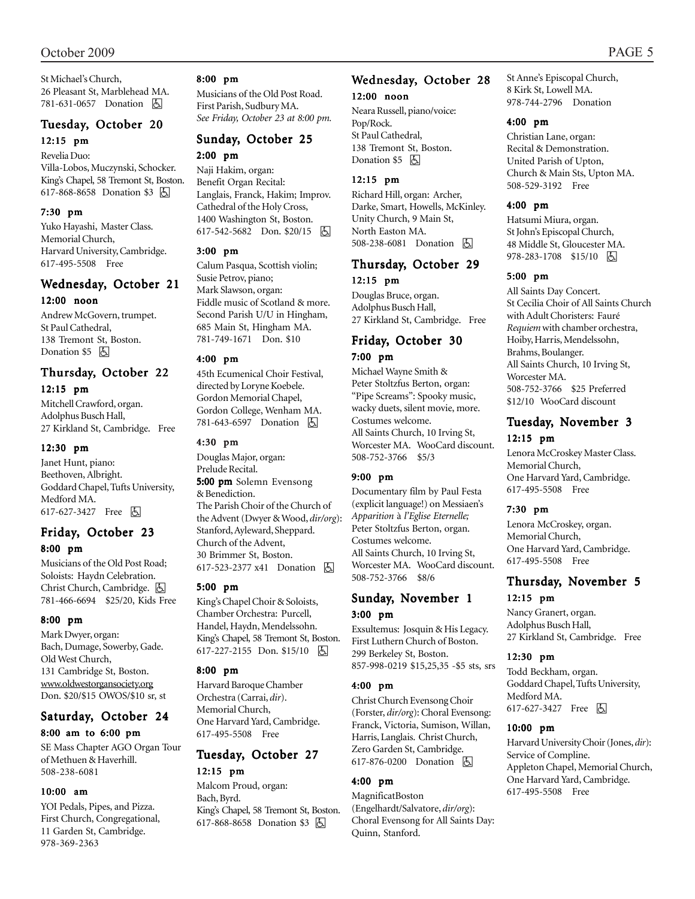### October 2009 PAGE 5

St Michael's Church, 26 Pleasant St, Marblehead MA. 781-631-0657 Donation **b** 

### Tuesday, October 20 12:15 pm

Revelia Duo: Villa-Lobos, Muczynski, Schocker. King's Chapel, 58 Tremont St, Boston. 617-868-8658 Donation \$3 因

#### 7:30 pm

Yuko Hayashi, Master Class. Memorial Church, Harvard University, Cambridge. 617-495-5508 Free

### Wednesday, October 21

#### 12:00 noon

Andrew McGovern, trumpet. St Paul Cathedral, 138 Tremont St, Boston. Donation \$5 因

#### Thursday, October 22 12:15 pm

Mitchell Crawford, organ. Adolphus Busch Hall, 27 Kirkland St, Cambridge. Free

#### 12:30 pm

Janet Hunt, piano: Beethoven, Albright. Goddard Chapel, Tufts University, Medford MA. 617-627-3427 Free **b** 

### Friday, October 23 8:00 pm

Musicians of the Old Post Road; Soloists: Haydn Celebration. Christ Church, Cambridge. **固** 781-466-6694 \$25/20, Kids Free

#### 8:00 pm

Mark Dwyer, organ: Bach, Dumage, Sowerby, Gade. Old West Church, 131 Cambridge St, Boston. www.oldwestorgansociety.org Don. \$20/\$15 OWOS/\$10 sr, st

# Saturday, October 24

#### 8:00 am to 6:00 pm

SE Mass Chapter AGO Organ Tour of Methuen & Haverhill. 508-238-6081

#### 10:00 am

YOI Pedals, Pipes, and Pizza. First Church, Congregational, 11 Garden St, Cambridge. 978-369-2363

#### 8:00 pm

Musicians of the Old Post Road. First Parish, Sudbury MA. *See Friday, October 23 at 8:00 pm.*

### Sunday, October 25 2:00 pm

Naji Hakim, organ: Benefit Organ Recital: Langlais, Franck, Hakim; Improv. Cathedral of the Holy Cross, 1400 Washington St, Boston. 617-542-5682 Don. \$20/15 **b** 

#### 3:00 pm

Calum Pasqua, Scottish violin; Susie Petrov, piano; Mark Slawson, organ: Fiddle music of Scotland & more. Second Parish U/U in Hingham, 685 Main St, Hingham MA. 781-749-1671 Don. \$10

#### 4:00 pm

45th Ecumenical Choir Festival, directed by Loryne Koebele. Gordon Memorial Chapel, Gordon College, Wenham MA. 781-643-6597 Donation h

#### 4:30 pm

Douglas Major, organ: Prelude Recital. 5:00 pm Solemn Evensong & Benediction. The Parish Choir of the Church of the Advent (Dwyer & Wood, *dir/org*): Stanford, Ayleward, Sheppard. Church of the Advent, 30 Brimmer St, Boston. 617-523-2377 x41 Donation **b** 

#### 5:00 pm

King's Chapel Choir & Soloists, Chamber Orchestra: Purcell, Handel, Haydn, Mendelssohn. King's Chapel, 58 Tremont St, Boston. 617-227-2155 Don. \$15/10 | A

#### 8:00 pm

Harvard Baroque Chamber Orchestra (Carrai, *dir*). Memorial Church, One Harvard Yard, Cambridge. 617-495-5508 Free

### Tuesday, October 27 12:15 pm

Malcom Proud, organ: Bach, Byrd. King's Chapel, 58 Tremont St, Boston. 617-868-8658 Donation \$3 [5]

### Wednesday, October 28 12:00 noon

Neara Russell, piano/voice: Pop/Rock. St Paul Cathedral, 138 Tremont St, Boston. Donation \$5 因

### 12:15 pm

Richard Hill, organ: Archer, Darke, Smart, Howells, McKinley. Unity Church, 9 Main St, North Easton MA. 508-238-6081 Donation **b** 

### Thursday, October 29 12:15 pm

Douglas Bruce, organ. Adolphus Busch Hall, 27 Kirkland St, Cambridge. Free

### Friday, October 30 7:00 pm

Michael Wayne Smith & Peter Stoltzfus Berton, organ: "Pipe Screams": Spooky music, wacky duets, silent movie, more. Costumes welcome. All Saints Church, 10 Irving St, Worcester MA. WooCard discount. 508-752-3766 \$5/3

#### 9:00 pm

Documentary film by Paul Festa (explicit language!) on Messiaen's *Apparition* à *l'Eglise Eternelle;* Peter Stoltzfus Berton, organ. Costumes welcome. All Saints Church, 10 Irving St, Worcester MA. WooCard discount. 508-752-3766 \$8/6

### Sunday, November 1 3:00 pm

Exsultemus: Josquin & His Legacy. First Luthern Church of Boston. 299 Berkeley St, Boston. 857-998-0219 \$15,25,35 -\$5 sts, srs

#### 4:00 pm

Christ Church Evensong Choir (Forster, *dir/org*): Choral Evensong: Franck, Victoria, Sumison, Willan, Harris, Langlais. Christ Church, Zero Garden St, Cambridge. 617-876-0200 Donation **b** 

#### 4:00 pm

MagnificatBoston (Engelhardt/Salvatore, *dir/org*): Choral Evensong for All Saints Day: Quinn, Stanford.

St Anne's Episcopal Church, 8 Kirk St, Lowell MA. 978-744-2796 Donation

#### 4:00 pm

Christian Lane, organ: Recital & Demonstration. United Parish of Upton, Church & Main Sts, Upton MA. 508-529-3192 Free

#### 4:00 pm

Hatsumi Miura, organ. St John's Episcopal Church, 48 Middle St, Gloucester MA. 978-283-1708 \$15/10 | 5

#### 5:00 pm

All Saints Day Concert. St Cecilia Choir of All Saints Church with Adult Choristers: Fauré *Requiem* with chamber orchestra, Hoiby, Harris, Mendelssohn, Brahms, Boulanger. All Saints Church, 10 Irving St, Worcester MA. 508-752-3766 \$25 Preferred \$12/10 WooCard discount

### Tuesday, November 3 12:15 pm

Lenora McCroskey Master Class. Memorial Church, One Harvard Yard, Cambridge. 617-495-5508 Free

#### 7:30 pm

Lenora McCroskey, organ. Memorial Church, One Harvard Yard, Cambridge. 617-495-5508 Free

### Thursday, November 5 12:15 pm

Nancy Granert, organ. Adolphus Busch Hall, 27 Kirkland St, Cambridge. Free

#### 12:30 pm

Todd Beckham, organ. Goddard Chapel, Tufts University, Medford MA. 617-627-3427 Free  $\boxed{6}$ 

#### 10:00 pm

Harvard University Choir (Jones, *dir*): Service of Compline. Appleton Chapel, Memorial Church, One Harvard Yard, Cambridge. 617-495-5508 Free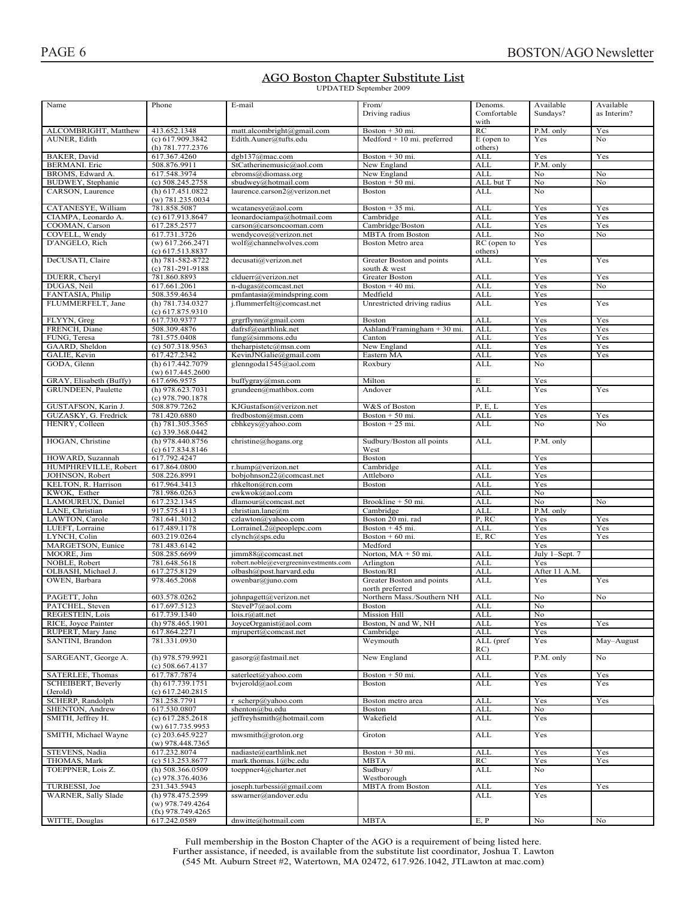#### AGO Boston Chapter Substitute List **UPDATED** September 2009

| Name                    | Phone               | E-mail                                | From/                        | Denoms.     | Available      | Available   |
|-------------------------|---------------------|---------------------------------------|------------------------------|-------------|----------------|-------------|
|                         |                     |                                       | Driving radius               | Comfortable | Sundays?       | as Interim? |
|                         |                     |                                       |                              | with        |                |             |
|                         |                     |                                       |                              | RC          |                |             |
| ALCOMBRIGHT, Matthew    | 413.652.1348        | matt.alcombright@gmail.com            | Boston $+30$ mi.             |             | P.M. only      | Yes         |
| AUNER, Edith            | (c) 617.909.3842    | Edith.Auner@tufts.edu                 | Medford $+10$ mi. preferred  | E (open to  | Yes            | No          |
|                         | (h) 781.777.2376    |                                       |                              | others)     |                |             |
|                         |                     |                                       |                              | <b>ALL</b>  |                |             |
| BAKER, David            | 617.367.4260        | dgb137@mac.com                        | Boston $+30$ mi.             |             | Yes            | Yes         |
| <b>BERMANI</b> . Eric   | 508.876.9911        | StCatherinemusic@aol.com              | New England                  | <b>ALL</b>  | P.M. only      |             |
| BROMS, Edward A.        | 617.548.3974        | ebroms@diomass.org                    | New England                  | <b>ALL</b>  | No             | No          |
|                         |                     |                                       |                              | ALL but T   |                |             |
| BUDWEY, Stephanie       | $(c)$ 508.245.2758  | sbudwey@hotmail.com                   | Boston $+50$ mi.             |             | No             | No          |
| CARSON, Laurence        | $(h)$ 617.451.0822  | laurence.carson2@verizon.net          | <b>Boston</b>                | ALL         | N <sub>o</sub> |             |
|                         | $(w)$ 781.235.0034  |                                       |                              |             |                |             |
|                         |                     |                                       |                              |             |                |             |
| CATANESYE, William      | 781.858.5087        | wcatanesye@aol.com                    | Boston $+35$ mi.             | ALL         | Yes            | Yes         |
| CIAMPA, Leonardo A.     | (c) 617.913.8647    | leonardociampa@hotmail.com            | Cambridge                    | <b>ALL</b>  | Yes            | Yes         |
| COOMAN, Carson          | 617.285.2577        | carson@carsoncooman.com               | Cambridge/Boston             | ALL         | Yes            | Yes         |
|                         |                     |                                       |                              |             |                |             |
| COVELL, Wendy           | 617.731.3726        | wendycove@verizon.net                 | <b>MBTA</b> from Boston      | <b>ALL</b>  | No             | No          |
| D'ANGELO, Rich          | (w) 617.266.2471    | wolf@channelwolves.com                | Boston Metro area            | RC (open to | Yes            |             |
|                         | (c) 617.513.8837    |                                       |                              | others)     |                |             |
|                         |                     |                                       |                              |             |                |             |
| DeCUSATI, Claire        | (h) 781-582-8722    | decusati@verizon.net                  | Greater Boston and points    | ALL         | Yes            | Yes         |
|                         | $(c)$ 781-291-9188  |                                       | south & west                 |             |                |             |
| DUERR, Cheryl           | 781.860.8893        | clduerr@verizon.net                   | Greater Boston               | <b>ALL</b>  | Yes            | Yes         |
|                         |                     |                                       |                              |             |                |             |
| DUGAS, Neil             | 617.661.2061        | n-dugas@comcast.net                   | Boston $+40$ mi.             | <b>ALL</b>  | Yes            | No          |
| FANTASIA, Philip        | 508.359.4634        | pmfantasia@mindspring.com             | Medfield                     | <b>ALL</b>  | Yes            |             |
| FLUMMERFELT, Jane       | (h) 781.734.0327    |                                       |                              |             |                | Yes         |
|                         |                     | j.flummerfelt@comcast.net             | Unrestricted driving radius  | ALL         | Yes            |             |
|                         | (c) 617.875.9310    |                                       |                              |             |                |             |
| FLYYN, Greg             | 617.730.9377        | grgrflynn@gmail.com                   | <b>Boston</b>                | <b>ALL</b>  | Yes            | Yes         |
|                         |                     | dafrsf@earthlink.net                  |                              |             |                |             |
| FRENCH, Diane           | 508.309.4876        |                                       | Ashland/Framingham $+30$ mi. | <b>ALL</b>  | Yes            | Yes         |
| FUNG, Teresa            | 781.575.0408        | $f$ ung@simmons.edu                   | Canton                       | ALL         | Yes            | Yes         |
| GAARD, Sheldon          | $(c)$ 507.318.9563  | theharpistetc@msn.com                 | New England                  | <b>ALL</b>  | Yes            | Yes         |
|                         |                     |                                       |                              |             |                |             |
| GALIE, Kevin            | 617.427.2342        | KevinJNGalie@gmail.com                | Eastern MA                   | <b>ALL</b>  | Yes            | Yes         |
| GODA, Glenn             | (h) 617.442.7079    | glenngoda1545@aol.com                 | Roxbury                      | ALL         | No             |             |
|                         |                     |                                       |                              |             |                |             |
|                         | $(w)$ 617.445.2600  |                                       |                              |             |                |             |
| GRAY, Elisabeth (Buffy) | 617.696.9575        | buffygray@msn.com                     | Milton                       | E           | Yes            |             |
|                         |                     |                                       |                              |             |                |             |
| GRUNDEEN, Paulette      | (h) 978.623.7031    | grundeen@mathbox.com                  | Andover                      | <b>ALL</b>  | Yes            | Yes         |
|                         | (c) 978.790.1878    |                                       |                              |             |                |             |
| GUSTAFSON, Karin J.     | 508.879.7262        | KJGustafson@verizon.net               | W&S of Boston                | P, E, L     | Yes            |             |
|                         |                     |                                       |                              |             |                |             |
| GUZASKY, G. Fredrick    | 781.420.6880        | fredboston@msn.com                    | Boston $+50$ mi.             | <b>ALL</b>  | Yes            | Yes         |
| HENRY, Colleen          | $(h)$ 781.305.3565  | cbhkeys@yahoo.com                     | Boston $+25$ mi.             | ALL         | No             | No          |
|                         |                     |                                       |                              |             |                |             |
|                         | $(c)$ 339.368.0442  |                                       |                              |             |                |             |
| HOGAN, Christine        | (h) 978.440.8756    | christine@hogans.org                  | Sudbury/Boston all points    | ALL         | P.M. only      |             |
|                         | $(c)$ 617.834.8146  |                                       | West                         |             |                |             |
|                         |                     |                                       |                              |             |                |             |
| HOWARD, Suzannah        | 617.792.4247        |                                       | Boston                       |             | Yes            |             |
| HUMPHREVILLE, Robert    | 617.864.0800        | r.hump@verizon.net                    | Cambridge                    | <b>ALL</b>  | Yes            |             |
|                         |                     |                                       |                              |             |                |             |
| JOHNSON, Robert         | 508.226.8991        | bobjohnson22@comcast.net              | Attleboro                    | <b>ALL</b>  | Yes            |             |
| KELTON, R. Harrison     | 617.964.3413        | rhkelton@rcn.com                      | Boston                       | <b>ALL</b>  | Yes            |             |
|                         |                     |                                       |                              | <b>ALL</b>  | No             |             |
| KWOK, Esther            | 781.986.0263        | ewkwok@aol.com                        |                              |             |                |             |
| LAMOUREUX, Daniel       | 617.232.1345        | dlamour@comcast.net                   | Brookline + 50 mi.           | <b>ALL</b>  | No             | No          |
| LANE, Christian         | 917.575.4113        | christian.lane@m                      | Cambridge                    | <b>ALL</b>  | P.M. only      |             |
|                         |                     |                                       |                              |             |                |             |
| LAWTON, Carole          | 781.641.3012        | czlawton@yahoo.com                    | Boston 20 mi. rad            | P, RC       | Yes            | Yes         |
| LUEFT, Lorraine         | 617.489.1178        | LorraineL2@peoplepc.com               | Boston $+45$ mi.             | ALL         | Yes            | Yes         |
|                         |                     |                                       |                              |             |                |             |
| LYNCH, Colin            | 603.219.0264        | clynch@sps.edu                        | Boston $+60$ mi.             | E, RC       | Yes            | Yes         |
| MARGETSON, Eunice       | 781.483.6142        |                                       | Medford                      |             | Yes            |             |
|                         | 508.285.6699        |                                       | Norton, $MA + 50$ mi.        | <b>ALL</b>  |                |             |
| MOORE, Jim              |                     | jimm88@comcast.net                    |                              |             | July 1-Sept. 7 |             |
| NOBLE, Robert           | 781.648.5618        | robert.noble@evergreeninvestments.com | Arlington                    | ALL         | Yes            |             |
| OLBASH, Michael J.      | 617.275.8129        | olbash@post.harvard.edu               | Boston/RI                    | <b>ALL</b>  | After 11 A.M.  |             |
|                         |                     |                                       | Greater Boston and points    |             |                |             |
| OWEN, Barbara           | 978.465.2068        | owenbar@juno.com                      |                              | ALL         | Yes            | Yes         |
|                         |                     |                                       | north preferred              |             |                |             |
| PAGETT, John            | 603.578.0262        | johnpagett@verizon.net                | Northern Mass./Southern NH   | <b>ALL</b>  | No             | No          |
|                         |                     |                                       |                              |             |                |             |
| PATCHEL, Steven         | 617.697.5123        | SteveP7@aol.com                       | <b>Boston</b>                | <b>ALL</b>  | No             |             |
| <b>REGESTEIN, Lois</b>  | 617.739.1340        | lois.r@att.net                        | Mission Hill                 | <b>ALL</b>  | $\rm No$       |             |
| RICE, Joyce Painter     | (h) $978.465.1901$  | JoyceOrganist@aol.com                 | Boston, N and W, NH          | ALL         | Yes            | Yes         |
|                         |                     |                                       |                              |             |                |             |
| RUPERT, Mary Jane       | 617.864.2271        | mjrupert@comcast.net                  | Cambridge                    | <b>ALL</b>  | Yes            |             |
| SANTINI, Brandon        | 781.331.0930        |                                       | Weymouth                     | ALL (pref   | Yes            | May-August  |
|                         |                     |                                       |                              |             |                |             |
|                         |                     |                                       |                              | RC)         |                |             |
| SARGEANT, George A.     | (h) 978.579.9921    | gasorg@fastmail.net                   | New England                  | <b>ALL</b>  | P.M. only      | No          |
|                         | $(c)$ 508.667.4137  |                                       |                              |             |                |             |
|                         |                     |                                       |                              |             |                |             |
| SATERLEE, Thomas        | 617.787.7874        | saterleet@yahoo.com                   | Boston $+50$ mi.             | ALL         | Yes            | Yes         |
| SCHEIBERT, Beverly      | (h) 617.739.1751    | bvjerold@aol.com                      | Boston                       | ALL         | Yes            | Yes         |
| (Jerold)                | (c) 617.240.2815    |                                       |                              |             |                |             |
|                         |                     |                                       |                              |             |                |             |
| SCHERP, Randolph        | 781.258.7791        | r scherp@yahoo.com                    | Boston metro area            | <b>ALL</b>  | Yes            | Yes         |
| SHENTON, Andrew         | 617.530.0807        | shenton@bu.edu                        | Boston                       | ALL         | No             |             |
|                         |                     |                                       |                              |             |                |             |
| SMITH, Jeffrey H.       | (c) 617.285.2618    | jeffreyhsmith@hotmail.com             | Wakefield                    | ALL         | Yes            |             |
|                         | $(w)$ 617.735.9953  |                                       |                              |             |                |             |
|                         |                     |                                       |                              |             |                |             |
| SMITH, Michael Wayne    | $(c)$ 203.645.9227  | $m$ wsmith@groton.org                 | Groton                       | ALL         | Yes            |             |
|                         | $(w)$ 978.448.7365  |                                       |                              |             |                |             |
| STEVENS, Nadia          | 617.232.8074        | nadiaste@earthlink.net                | Boston $+30$ mi.             | <b>ALL</b>  | Yes            | Yes         |
|                         |                     |                                       |                              |             |                |             |
| THOMAS, Mark            | $(c)$ 513.253.8677  | mark.thomas.1@bc.edu                  | <b>MBTA</b>                  | RC          | Yes            | Yes         |
| TOEPPNER, Lois Z.       | (h) $508.366.0509$  | toeppner4@charter.net                 | Sudbury/                     | ALL         | No             |             |
|                         |                     |                                       | Westborough                  |             |                |             |
|                         |                     |                                       |                              |             |                |             |
| TURBESSI, Joe           | $(c)$ 978.376.4036  |                                       |                              |             |                |             |
|                         | 231.343.5943        | joseph.turbessi@gmail.com             | <b>MBTA</b> from Boston      | ALL         | Yes            | Yes         |
|                         |                     |                                       |                              |             |                |             |
| WARNER, Sally Slade     | (h) 978.475.2599    | sswarner@andover.edu                  |                              | ALL         | Yes            |             |
|                         | $(w)$ 978.749.4264  |                                       |                              |             |                |             |
|                         | $(fx)$ 978.749.4265 |                                       |                              |             |                |             |
| WITTE, Douglas          | 617.242.0589        | dnwitte@hotmail.com                   | <b>MBTA</b>                  | E, P        | No             | No          |

Full membership in the Boston Chapter of the  $AGO$  is a requirement of being listed here. Further assistance, if needed, is available from the substitute list coordinator. Joshua T. Lawton  $(545 \text{ Mt}$ , Auburn Street #2, Watertown, MA 02472, 617,926,1042, JTL awton at mac.com)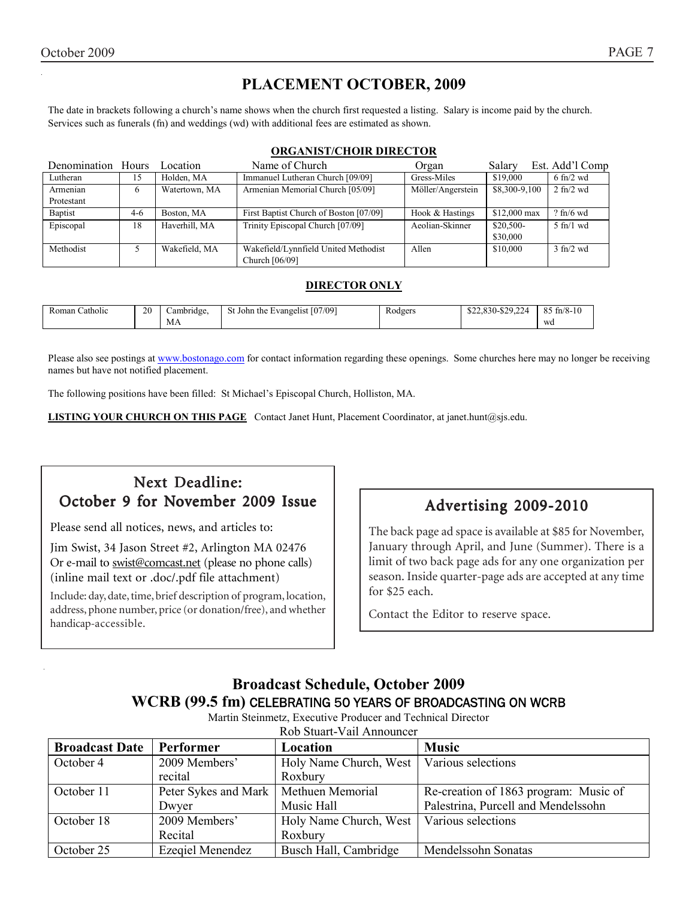# **PLACEMENT OCTOBER, 2009**

The date in brackets following a church's name shows when the church first requested a listing. Salary is income paid by the church. Services such as funerals (fn) and weddings (wd) with additional fees are estimated as shown.

### **ORGANIST/CHOIR DIRECTOR**

| Denomination Hours |       | Location      | Name of Church                         | Organ             | Salary        | Est. Add'l Comp             |
|--------------------|-------|---------------|----------------------------------------|-------------------|---------------|-----------------------------|
| Lutheran           | 15    | Holden, MA    | Immanuel Lutheran Church [09/09]       | Gress-Miles       | \$19,000      | $6 \text{ ft}$ /2 wd        |
| Armenian           | 6     | Watertown, MA | Armenian Memorial Church [05/09]       | Möller/Angerstein | \$8,300-9,100 | $2 \text{ fn}/2 \text{ wd}$ |
| Protestant         |       |               |                                        |                   |               |                             |
| <b>Baptist</b>     | $4-6$ | Boston, MA    | First Baptist Church of Boston [07/09] | Hook & Hastings   | $$12,000$ max | $?$ fn/6 wd                 |
| Episcopal          | 18    | Haverhill, MA | Trinity Episcopal Church [07/09]       | Aeolian-Skinner   | \$20,500-     | $5$ fn/1 wd                 |
|                    |       |               |                                        |                   | \$30,000      |                             |
| Methodist          |       | Wakefield, MA | Wakefield/Lynnfield United Methodist   | Allen             | \$10,000      | $3$ fn/2 wd                 |
|                    |       |               | Church [06/09]                         |                   |               |                             |

### **DIRECTOR ONLY**

| $\cdots$<br>Catholic<br>Roman | 20 | ∴ambridge. | t John the Evangelist [07/09] | $\mathbf{r}$<br>Rodgers<br>ັ | 0.0000<br>0.2200<br>. 7 Y<br>74<br>$22,830 - 22,224$ | $85$ fn/8-10 |
|-------------------------------|----|------------|-------------------------------|------------------------------|------------------------------------------------------|--------------|
|                               |    | МA         |                               |                              |                                                      | wa           |

Please also see postings at www.bostonago.com for contact information regarding these openings. Some churches here may no longer be receiving names but have not notified placement.

The following positions have been filled: St Michael's Episcopal Church, Holliston, MA.

**LISTING YOUR CHURCH ON THIS PAGE** Contact Janet Hunt, Placement Coordinator, at janet.hunt@sjs.edu.

# Next Deadline: October 9 for November 2009 Issue

Please send all notices, news, and articles to:

Jim Swist, 34 Jason Street #2, Arlington MA 02476 Or e-mail to swist@comcast.net (please no phone calls) (inline mail text or .doc/.pdf file attachment)

Include: day, date, time, brief description of program, location, address, phone number, price (or donation/free), and whether handicap-accessible.

# Advertising 2009-2010

The back page ad space is available at \$85 for November, January through April, and June (Summer). There is a limit of two back page ads for any one organization per season. Inside quarter-page ads are accepted at any time for \$25 each.

Contact the Editor to reserve space.

# **Broadcast Schedule, October 2009 WCRB (99.5 fm)** CELEBRATING 50 YEARS OF BROADCASTING ON WCRB

Martin Steinmetz, Executive Producer and Technical Director

| Rob Stuart-Vail Announcer |                      |                                             |                                       |  |
|---------------------------|----------------------|---------------------------------------------|---------------------------------------|--|
| <b>Broadcast Date</b>     | Performer            | Location                                    | <b>Music</b>                          |  |
| October 4                 | 2009 Members'        | Holy Name Church, West   Various selections |                                       |  |
|                           | recital              | Roxbury                                     |                                       |  |
| October 11                | Peter Sykes and Mark | Methuen Memorial                            | Re-creation of 1863 program: Music of |  |
|                           | Dwyer                | Music Hall                                  | Palestrina, Purcell and Mendelssohn   |  |
| October 18                | 2009 Members'        | Holy Name Church, West                      | Various selections                    |  |
|                           | Recital              | Roxbury                                     |                                       |  |
| October 25                | Ezeqiel Menendez     | Busch Hall, Cambridge                       | Mendelssohn Sonatas                   |  |